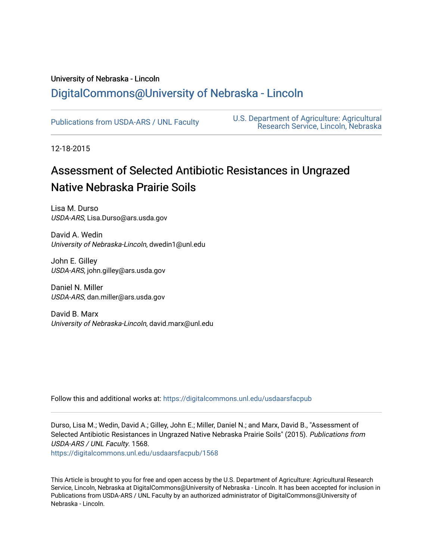# University of Nebraska - Lincoln [DigitalCommons@University of Nebraska - Lincoln](https://digitalcommons.unl.edu/)

[Publications from USDA-ARS / UNL Faculty](https://digitalcommons.unl.edu/usdaarsfacpub) [U.S. Department of Agriculture: Agricultural](https://digitalcommons.unl.edu/usdaars)  [Research Service, Lincoln, Nebraska](https://digitalcommons.unl.edu/usdaars) 

12-18-2015

# Assessment of Selected Antibiotic Resistances in Ungrazed Native Nebraska Prairie Soils

Lisa M. Durso USDA-ARS, Lisa.Durso@ars.usda.gov

David A. Wedin University of Nebraska-Lincoln, dwedin1@unl.edu

John E. Gilley USDA-ARS, john.gilley@ars.usda.gov

Daniel N. Miller USDA-ARS, dan.miller@ars.usda.gov

David B. Marx University of Nebraska-Lincoln, david.marx@unl.edu

Follow this and additional works at: [https://digitalcommons.unl.edu/usdaarsfacpub](https://digitalcommons.unl.edu/usdaarsfacpub?utm_source=digitalcommons.unl.edu%2Fusdaarsfacpub%2F1568&utm_medium=PDF&utm_campaign=PDFCoverPages)

Durso, Lisa M.; Wedin, David A.; Gilley, John E.; Miller, Daniel N.; and Marx, David B., "Assessment of Selected Antibiotic Resistances in Ungrazed Native Nebraska Prairie Soils" (2015). Publications from USDA-ARS / UNL Faculty. 1568.

[https://digitalcommons.unl.edu/usdaarsfacpub/1568](https://digitalcommons.unl.edu/usdaarsfacpub/1568?utm_source=digitalcommons.unl.edu%2Fusdaarsfacpub%2F1568&utm_medium=PDF&utm_campaign=PDFCoverPages) 

This Article is brought to you for free and open access by the U.S. Department of Agriculture: Agricultural Research Service, Lincoln, Nebraska at DigitalCommons@University of Nebraska - Lincoln. It has been accepted for inclusion in Publications from USDA-ARS / UNL Faculty by an authorized administrator of DigitalCommons@University of Nebraska - Lincoln.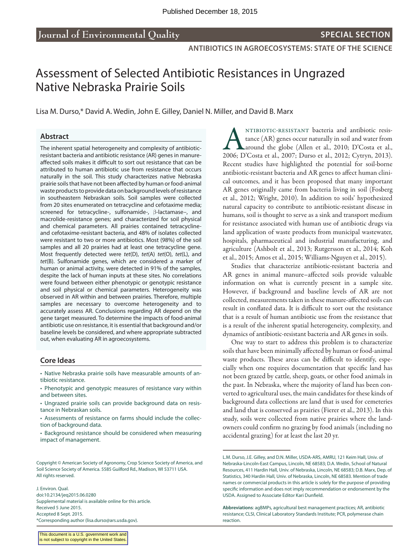# Assessment of Selected Antibiotic Resistances in Ungrazed Native Nebraska Prairie Soils

Lisa M. Durso,\* David A. Wedin, John E. Gilley, Daniel N. Miller, and David B. Marx

#### **Abstract**

The inherent spatial heterogeneity and complexity of antibioticresistant bacteria and antibiotic resistance (AR) genes in manureaffected soils makes it difficult to sort out resistance that can be attributed to human antibiotic use from resistance that occurs naturally in the soil. This study characterizes native Nebraska prairie soils that have not been affected by human or food-animal waste products to provide data on background levels of resistance in southeastern Nebraskan soils. Soil samples were collected from 20 sites enumerated on tetracycline and cefotaxime media; screened for tetracycline-, sulfonamide-,  $\beta$ -lactamase-, and macrolide-resistance genes; and characterized for soil physical and chemical parameters. All prairies contained tetracyclineand cefotaxime-resistant bacteria, and 48% of isolates collected were resistant to two or more antibiotics. Most (98%) of the soil samples and all 20 prairies had at least one tetracycline gene. Most frequently detected were *tet*(D), *tet*(A) *tet*(O), *tet*(L), and *tet*(B). Sulfonamide genes, which are considered a marker of human or animal activity, were detected in 91% of the samples, despite the lack of human inputs at these sites. No correlations were found between either phenotypic or genotypic resistance and soil physical or chemical parameters. Heterogeneity was observed in AR within and between prairies. Therefore, multiple samples are necessary to overcome heterogeneity and to accurately assess AR. Conclusions regarding AR depend on the gene target measured. To determine the impacts of food-animal antibiotic use on resistance, it is essential that background and/or baseline levels be considered, and where appropriate subtracted out, when evaluating AR in agroecosystems.

#### **Core Ideas**

• Native Nebraska prairie soils have measurable amounts of antibiotic resistance.

- Phenotypic and genotypic measures of resistance vary within and between sites.
- Ungrazed prairie soils can provide background data on resistance in Nebraskan soils.
- Assessments of resistance on farms should include the collection of background data.
- Background resistance should be considered when measuring impact of management.

Copyright © American Society of Agronomy, Crop Science Society of America, and Soil Science Society of America. 5585 Guilford Rd., Madison, WI 53711 USA. All rights reserved.

J. Environ. Qual. doi:10.2134/jeq2015.06.0280 Supplemental material is available online for this article. Received 5 June 2015. Accepted 8 Sept. 2015. \*Corresponding author ([lisa.durso@ars.usda.gov\)](mailto:lisa.durso@ars.usda.gov).

ANTIBIOTIC-RESISTANT bacteria and antibiotic resistance (AR) genes occur naturally in soil and water from around the globe (Allen et al., 2010; D'Costa et al., 2007; Durso et al., 2012; Cytryn, 2013). tance (AR) genes occur naturally in soil and water from around the globe (Allen et al., 2010; D'Costa et al., Recent studies have highlighted the potential for soil-borne antibiotic-resistant bacteria and AR genes to affect human clinical outcomes, and it has been proposed that many important AR genes originally came from bacteria living in soil (Fosberg et al., 2012; Wright, 2010). In addition to soils' hypothesized natural capacity to contribute to antibiotic-resistant disease in humans, soil is thought to serve as a sink and transport medium for resistance associated with human use of antibiotic drugs via land application of waste products from municipal wastewater, hospitals, pharmaceutical and industrial manufacturing, and agriculture (Ashbolt et al., 2013; Rutgersson et al., 2014; Koh et al., 2015; Amos et al., 2015; Williams-Nguyen et al., 2015).

Studies that characterize antibiotic-resistant bacteria and AR genes in animal manure–affected soils provide valuable information on what is currently present in a sample site. However, if background and baseline levels of AR are not collected, measurements taken in these manure-affected soils can result in conflated data. It is difficult to sort out the resistance that is a result of human antibiotic use from the resistance that is a result of the inherent spatial heterogeneity, complexity, and dynamics of antibiotic-resistant bacteria and AR genes in soils.

One way to start to address this problem is to characterize soils that have been minimally affected by human or food-animal waste products. These areas can be difficult to identify, especially when one requires documentation that specific land has not been grazed by cattle, sheep, goats, or other food animals in the past. In Nebraska, where the majority of land has been converted to agricultural uses, the main candidates for these kinds of background data collections are land that is used for cemeteries and land that is conserved as prairies (Fierer et al., 2013). In this study, soils were collected from native prairies where the landowners could confirm no grazing by food animals (including no accidental grazing) for at least the last 20 yr.

L.M. Durso, J.E. Gilley, and D.N. Miller, USDA-ARS, AMRU, 121 Keim Hall, Univ. of Nebraska-Lincoln-East Campus, Lincoln, NE 68583; D.A. Wedin, School of Natural Resources, 411 Hardin Hall, Univ. of Nebraska, Lincoln, NE 68583; D.B. Marx, Dep. of Statistics, 340 Hardin Hall, Univ. of Nebraska, Lincoln, NE 68583. Mention of trade names or commercial products in this article is solely for the purpose of providing specific information and does not imply recommendation or endorsement by the USDA. Assigned to Associate Editor Kari Dunfield.

**Abbreviations**: agBMPs, agricultural best management practices; AR, antibiotic resistance; CLSI, Clinical Laboratory Standards Institute; PCR, polymerase chain reaction.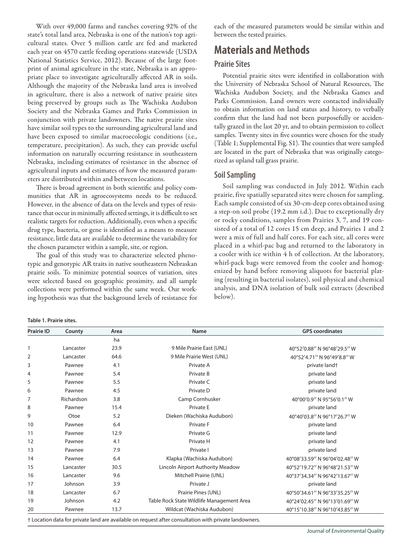With over 49,000 farms and ranches covering 92% of the state's total land area, Nebraska is one of the nation's top agricultural states. Over 5 million cattle are fed and marketed each year on 4570 cattle feeding operations statewide (USDA National Statistics Service, 2012). Because of the large footprint of animal agriculture in the state, Nebraska is an appropriate place to investigate agriculturally affected AR in soils. Although the majority of the Nebraska land area is involved in agriculture, there is also a network of native prairie sites being preserved by groups such as The Wachiska Audubon Society and the Nebraska Games and Parks Commission in conjunction with private landowners. The native prairie sites have similar soil types to the surrounding agricultural land and have been exposed to similar macroecologic conditions (i.e., temperature, precipitation). As such, they can provide useful information on naturally occurring resistance in southeastern Nebraska, including estimates of resistance in the absence of agricultural inputs and estimates of how the measured parameters are distributed within and between locations.

There is broad agreement in both scientific and policy communities that AR in agroecosystems needs to be reduced. However, in the absence of data on the levels and types of resistance that occur in minimally affected settings, it is difficult to set realistic targets for reduction. Additionally, even when a specific drug type, bacteria, or gene is identified as a means to measure resistance, little data are available to determine the variability for the chosen parameter within a sample, site, or region.

The goal of this study was to characterize selected phenotypic and genotypic AR traits in native southeastern Nebraskan prairie soils. To minimize potential sources of variation, sites were selected based on geographic proximity, and all sample collections were performed within the same week. Our working hypothesis was that the background levels of resistance for each of the measured parameters would be similar within and between the tested prairies.

# **Materials and Methods**

## **Prairie Sites**

Potential prairie sites were identified in collaboration with the University of Nebraska School of Natural Resources, The Wachiska Audubon Society, and the Nebraska Games and Parks Commission. Land owners were contacted individually to obtain information on land status and history, to verbally confirm that the land had not been purposefully or accidentally grazed in the last 20 yr, and to obtain permission to collect samples. Twenty sites in five counties were chosen for the study (Table 1; Supplemental Fig. S1). The counties that were sampled are located in the part of Nebraska that was originally categorized as upland tall grass prairie.

# **Soil Sampling**

Soil sampling was conducted in July 2012. Within each prairie, five spatially separated sites were chosen for sampling. Each sample consisted of six 30-cm-deep cores obtained using a step-on soil probe (19.2 mm i.d.). Due to exceptionally dry or rocky conditions, samples from Prairies 3, 7, and 19 consisted of a total of 12 cores 15 cm deep, and Prairies 1 and 2 were a mix of full and half cores. For each site, all cores were placed in a whirl-pac bag and returned to the laboratory in a cooler with ice within 4 h of collection. At the laboratory, whirl-pack bags were removed from the cooler and homogenized by hand before removing aliquots for bacterial plating (resulting in bacterial isolates), soil physical and chemical analysis, and DNA isolation of bulk soil extracts (described below).

|  | Table 1. Prairie sites. |  |
|--|-------------------------|--|
|  |                         |  |

| <b>Prairie ID</b> | County     | Area | <b>Name</b>                               | <b>GPS</b> coordinates        |
|-------------------|------------|------|-------------------------------------------|-------------------------------|
|                   |            | ha   |                                           |                               |
| 1                 | Lancaster  | 23.9 | 9 Mile Prairie East (UNL)                 | 40°52'0.88" N 96°48'29.5" W   |
| 2                 | Lancaster  | 64.6 | 9 Mile Prairie West (UNL)                 | 40°52'4.71" N 96°49'8.8" W    |
| 3                 | Pawnee     | 4.1  | Private A                                 | private land+                 |
| 4                 | Pawnee     | 5.4  | Private B                                 | private land                  |
| 5                 | Pawnee     | 5.5  | Private C                                 | private land                  |
| 6                 | Pawnee     | 4.5  | Private D                                 | private land                  |
| $\overline{7}$    | Richardson | 3.8  | Camp Cornhusker                           | 40°00'0.9" N 95°56'0.1" W     |
| 8                 | Pawnee     | 15.4 | Private E                                 | private land                  |
| 9                 | Otoe       | 5.2  | Dieken (Wachiska Audubon)                 | 40°40'03.8" N 96°17'26.7" W   |
| 10                | Pawnee     | 6.4  | Private F                                 | private land                  |
| 11                | Pawnee     | 12.9 | Private G                                 | private land                  |
| 12                | Pawnee     | 4.1  | Private H                                 | private land                  |
| 13                | Pawnee     | 7.9  | Private I                                 | private land                  |
| 14                | Pawnee     | 6.4  | Klapka (Wachiska Audubon)                 | 40°08'33.59" N 96°04'02.48" W |
| 15                | Lancaster  | 30.5 | Lincoln Airport Authority Meadow          | 40°52'19.72" N 96°48'21.53" W |
| 16                | Lancaster  | 9.6  | Mitchell Prairie (UNL)                    | 40°37'34.34" N 96°42'13.67" W |
| 17                | Johnson    | 3.9  | Private J                                 | private land                  |
| 18                | Lancaster  | 6.7  | Prairie Pines (UNL)                       | 40°50'34.61" N 96°33'35.25" W |
| 19                | Johnson    | 4.2  | Table Rock State Wildlife Management Area | 40°24'02.45" N 96°13'01.69" W |
| 20                | Pawnee     | 13.7 | Wildcat (Wachiska Audubon)                | 40°15'10.38" N 96°10'43.85" W |

† Location data for private land are available on request after consultation with private landowners.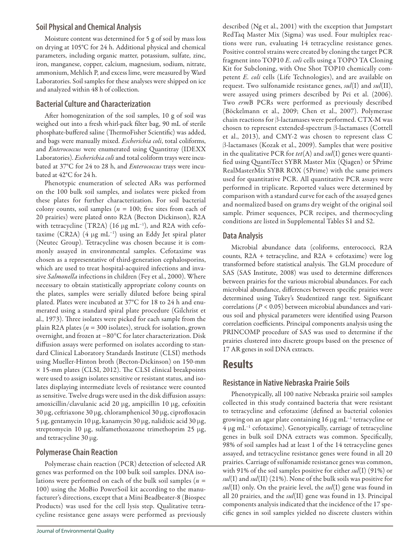## **Soil Physical and Chemical Analysis**

Moisture content was determined for 5 g of soil by mass loss on drying at 105°C for 24 h. Additional physical and chemical parameters, including organic matter, potassium, sulfate, zinc, iron, manganese, copper, calcium, magnesium, sodium, nitrate, ammonium, Mehlich P, and excess lime, were measured by Ward Laboratories. Soil samples for these analyses were shipped on ice and analyzed within 48 h of collection.

## **Bacterial Culture and Characterization**

After homogenization of the soil samples, 10 g of soil was weighed out into a fresh whirl-pack filter bag, 90 mL of sterile phosphate-buffered saline (ThermoFisher Scientific) was added, and bags were manually mixed. *Escherichia coli*, total coliforms, and *Enterococcus* were enumerated using Quantitray (IDEXX Laboratories). *Escherichia coli* and total coliform trays were incubated at 37°C for 24 to 28 h, and *Enterococcus* trays were incubated at 42°C for 24 h.

Phenotypic enumeration of selected ARs was performed on the 100 bulk soil samples, and isolates were picked from these plates for further characterization. For soil bacterial colony counts, soil samples ( $n = 100$ ; five sites from each of 20 prairies) were plated onto R2A (Becton Dickinson), R2A with tetracycline (TR2A) (16  $\mu$ g mL<sup>-1</sup>), and R2A with cefotaxime (CR2A) (4 µg mL<sup>-1</sup>) using an Eddy Jet spiral plater (Neutec Group). Tetracycline was chosen because it is commonly assayed in environmental samples. Cefotaxime was chosen as a representative of third-generation cephalosporins, which are used to treat hospital-acquired infections and invasive *Salmonella* infections in children (Fey et al., 2000). Where necessary to obtain statistically appropriate colony counts on the plates, samples were serially diluted before being spiral plated. Plates were incubated at 37°C for 18 to 24 h and enumerated using a standard spiral plate procedure (Gilchrist et al., 1973). Three isolates were picked for each sample from the plain R2A plates (*n* = 300 isolates), struck for isolation, grown overnight, and frozen at −80°C for later characterization. Disk diffusion assays were performed on isolates according to standard Clinical Laboratory Standards Institute (CLSI) methods using Mueller-Hinton broth (Becton-Dickinson) on 150-mm × 15-mm plates (CLSI, 2012). The CLSI clinical breakpoints were used to assign isolates sensitive or resistant status, and isolates displaying intermediate levels of resistance were counted as sensitive. Twelve drugs were used in the disk diffusion assays: amoxicillin/clavulanic acid 20 µg, ampicillin 10 µg, cefoxitin  $30 \,\mu$ g, ceftriaxone  $30 \,\mu$ g, chloramphenicol  $30 \,\mu$ g, ciprofloxacin 5 µg, gentamycin 10 µg, kanamycin 30 µg, nalidixic acid 30 µg, streptomycin 10  $\mu$ g, sulfamethoxazone trimethoprim 25  $\mu$ g, and tetracycline  $30 \mu$ g.

## **Polymerase Chain Reaction**

Polymerase chain reaction (PCR) detection of selected AR genes was performed on the 100 bulk soil samples. DNA isolations were performed on each of the bulk soil samples (*n* = 100) using the MoBio PowerSoil kit according to the manufacturer's directions, except that a Mini Beadbeater-8 (Biospec Products) was used for the cell lysis step. Qualitative tetracycline resistance gene assays were performed as previously described (Ng et al., 2001) with the exception that Jumpstart RedTaq Master Mix (Sigma) was used. Four multiplex reactions were run, evaluating 14 tetracycline resistance genes. Positive control strains were created by cloning the target PCR fragment into TOP10 *E. coli* cells using a TOPO TA Cloning Kit for Subcloning, with One Shot TOP10 chemically competent *E. coli* cells (Life Technologies), and are available on request. Two sulfonamide resistance genes, *sul*(I) and *sul*(II), were assayed using primers described by Pei et al. (2006). Two *erm*B PCRs were performed as previously described (Böckelmann et al., 2009; Chen et al., 2007). Polymerase chain reactions for  $\beta$ -lactamases were performed. CTX-M was chosen to represent extended-spectrum  $\beta$ -lactamases (Cottell et al., 2013), and CMY-2 was chosen to represent class C b-lactamases (Kozak et al., 2009). Samples that were positive in the qualitative PCR for *tet*(A) and *sul*(I) genes were quantified using QuantiTect SYBR Master Mix (Qiagen) or 5Prime RealMasterMix SYBR ROX (5Prime) with the same primers used for quantitative PCR. All quantitative PCR assays were performed in triplicate. Reported values were determined by comparison with a standard curve for each of the assayed genes and normalized based on grams dry weight of the original soil sample. Primer sequences, PCR recipes, and thermocycling conditions are listed in Supplemental Tables S1 and S2.

## **Data Analysis**

Microbial abundance data (coliforms, enterococci, R2A counts, R2A + tetracycline, and R2A + cefotaxime) were log transformed before statistical analysis. The GLM procedure of SAS (SAS Institute, 2008) was used to determine differences between prairies for the various microbial abundances. For each microbial abundance, differences between specific prairies were determined using Tukey's Studentized range test. Significant correlations (*P* < 0.05) between microbial abundances and various soil and physical parameters were identified using Pearson correlation coefficients. Principal components analysis using the PRINCOMP procedure of SAS was used to determine if the prairies clustered into discrete groups based on the presence of 17 AR genes in soil DNA extracts.

# **Results**

## **Resistance in Native Nebraska Prairie Soils**

Phenotypically, all 100 native Nebraska prairie soil samples collected in this study contained bacteria that were resistant to tetracycline and cefotaxime (defined as bacterial colonies growing on an agar plate containing  $16 \,\mathrm{\upmu g\,mL^{-1}}$  tetracycline or  $4 \mu g$  mL<sup>-1</sup> cefotaxime). Genotypically, carriage of tetracycline genes in bulk soil DNA extracts was common. Specifically, 98% of soil samples had at least 1 of the 14 tetracycline genes assayed, and tetracycline resistance genes were found in all 20 prairies. Carriage of sulfonamide resistance genes was common, with 91% of the soil samples positive for either *sul*(I) (91%) or *sul*(I) and *sul*(II) (21%). None of the bulk soils was positive for *sul*(II) only. On the prairie level, the *sul*(I) gene was found in all 20 prairies, and the *sul*(II) gene was found in 13. Principal components analysis indicated that the incidence of the 17 specific genes in soil samples yielded no discrete clusters within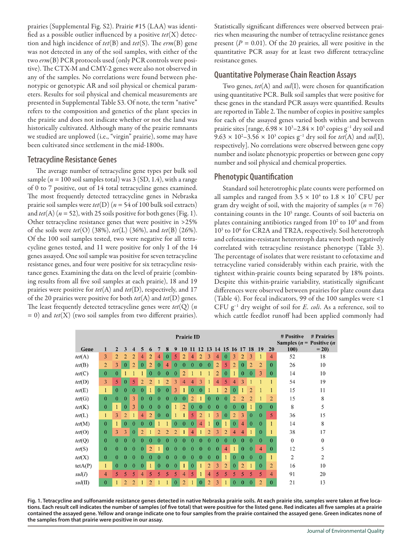prairies (Supplemental Fig. S2). Prairie #15 (LAA) was identified as a possible outlier influenced by a positive *tet*(X) detection and high incidence of *tet*(B) and *tet*(S). The *erm*(B) gene was not detected in any of the soil samples, with either of the two *erm*(B) PCR protocols used (only PCR controls were positive). The CTX-M and CMY-2 genes were also not observed in any of the samples. No correlations were found between phenotypic or genotypic AR and soil physical or chemical parameters. Results for soil physical and chemical measurements are presented in Supplemental Table S3. Of note, the term "native" refers to the composition and genetics of the plant species in the prairie and does not indicate whether or not the land was historically cultivated. Although many of the prairie remnants we studied are unplowed (i.e., "virgin" prairie), some may have been cultivated since settlement in the mid-1800s.

## **Tetracycline Resistance Genes**

The average number of tetracycline gene types per bulk soil sample ( $n = 100$  soil samples total) was  $3 (SD, 1.4)$ , with a range of 0 to 7 positive, out of 14 total tetracycline genes examined. The most frequently detected tetracycline genes in Nebraska prairie soil samples were *tet*(D) (*n* = 54 of 100 bulk soil extracts) and  $tet(A)$  ( $n = 52$ ), with 25 soils positive for both genes (Fig. 1). Other tetracycline resistance genes that were positive in >25% of the soils were *tet*(O) (38%), *tet*(L) (36%), and *tet*(B) (26%). Of the 100 soil samples tested, two were negative for all tetracycline genes tested, and 11 were positive for only 1 of the 14 genes assayed. One soil sample was positive for seven tetracycline resistance genes, and four were positive for six tetracycline resistance genes. Examining the data on the level of prairie (combining results from all five soil samples at each prairie), 18 and 19 prairies were positive for *tet*(A) and *tet*(D), respectively, and 17 of the 20 prairies were positive for both *tet*(A) and *tet*(D) genes. The least frequently detected tetracycline genes were *tet*(Q) (*n* = 0) and *tet*(X) (two soil samples from two different prairies). Statistically significant differences were observed between prairies when measuring the number of tetracycline resistance genes present  $(P = 0.01)$ . Of the 20 prairies, all were positive in the quantitative PCR assay for at least two different tetracycline resistance genes.

# **Quantitative Polymerase Chain Reaction Assays**

Two genes, *tet*(A) and *sul*(I), were chosen for quantification using quantitative PCR. Bulk soil samples that were positive for these genes in the standard PCR assays were quantified. Results are reported in Table 2. The number of copies in positive samples for each of the assayed genes varied both within and between prairie sites [range,  $6.98 \times 10^3$ –2.84 × 10<sup>5</sup> copies g<sup>-1</sup> dry soil and  $9.63 \times 10^2 - 3.56 \times 10^3$  copies g<sup>-1</sup> dry soil for *tet*(A) and *sul*(I), respectively]. No correlations were observed between gene copy number and isolate phenotypic properties or between gene copy number and soil physical and chemical properties.

## **Phenotypic Quantification**

Standard soil heterotrophic plate counts were performed on all samples and ranged from 3.5  $\times$  10<sup>4</sup> to 1.8  $\times$  10<sup>7</sup> CFU per gram dry weight of soil, with the majority of samples  $(n = 76)$ containing counts in the 10<sup>5</sup> range. Counts of soil bacteria on plates containing antibiotics ranged from  $10<sup>2</sup>$  to  $10<sup>6</sup>$  and from 103 to 106 for CR2A and TR2A, respectively. Soil heterotroph and cefotaxime-resistant heterotroph data were both negatively correlated with tetracycline resistance phenotype (Table 3). The percentage of isolates that were resistant to cefotaxime and tetracycline varied considerably within each prairie, with the tightest within-prairie counts being separated by 18% points. Despite this within-prairie variability, statistically significant differences were observed between prairies for plate count data (Table 4). For fecal indicators, 99 of the 100 samples were <1 CFU g−1 dry weight of soil for *E. coli*. As a reference, soil to which cattle feedlot runoff had been applied commonly had

|         | <b>Prairie ID</b> |              |                |                |                |                |                |                | # Positive<br>Samples ( $n =$ Positive ( <i>n</i> | # Prairies     |                |                |                      |                |                |                |                |                |                |                         |                |                |
|---------|-------------------|--------------|----------------|----------------|----------------|----------------|----------------|----------------|---------------------------------------------------|----------------|----------------|----------------|----------------------|----------------|----------------|----------------|----------------|----------------|----------------|-------------------------|----------------|----------------|
| Gene    | 1                 | 2            | 3              | 4              | 5              | 6              | 7              | 8              | 9                                                 | 10             | 11             |                | 12 13 14 15 16 17 18 |                |                |                |                |                | 19             | 20                      | 100)           | $= 20$         |
| tet(A)  | 3                 | 2            | $\overline{2}$ | $\overline{2}$ | 4              | $\overline{2}$ | 4              | $\mathbf{0}$   | 5                                                 | 2              | 4              | 2              | 3                    | $\overline{4}$ | $\theta$       | 3              | 2              | 3              |                | 4                       | 52             | 18             |
| tet(B)  | $\overline{2}$    | 3            | $\mathbf{0}$   | $\overline{2}$ | $\theta$       | 2              | $\overline{0}$ | 4              | $\mathbf{0}$                                      | $\theta$       | $\mathbf{0}$   | $\mathbf{0}$   | $\theta$             | $\overline{2}$ | 5              | 2              | $\theta$       | $\overline{2}$ | $\overline{2}$ | $\theta$                | 26             | 10             |
| tet(C)  | $\mathbf{0}$      | $\mathbf{0}$ |                |                |                | $\mathbf{0}$   | $\mathbf{0}$   | $\mathbf{0}$   | $\mathbf{0}$                                      | $\overline{2}$ |                |                |                      | 2              | $\mathbf{0}$   |                | $\mathbf{0}$   | $\mathbf{0}$   | 3              | $\mathbf{0}$            | 14             | 10             |
| tet(D)  | 3                 | 5            | $\theta$       | 5              | $\overline{2}$ | $\overline{2}$ |                | 2              | 3                                                 | 4              | $\overline{4}$ | 3              |                      | $\overline{4}$ | 5              | 4              | 3              |                |                | 1                       | 54             | 19             |
| tet(E)  | 1                 | $\Omega$     | $\theta$       | $\mathbf{0}$   | $\theta$       |                | $\theta$       | $\theta$       | 3                                                 |                | $\mathbf{0}$   | $\Omega$       |                      |                | $\overline{2}$ | $\mathbf{0}$   |                | $\overline{2}$ |                | 1                       | 15             | 11             |
| tet(G)  | $\overline{0}$    | $\mathbf{0}$ | $\theta$       | 3              | $\theta$       | $\theta$       | $\theta$       | $\overline{0}$ | $\overline{0}$                                    | $\theta$       | $\overline{2}$ |                | $\theta$             | $\theta$       | $\theta$       | $\overline{2}$ | 2              | $\overline{2}$ |                | $\overline{2}$          | 15             | 8              |
| tet(K)  | $\bf{0}$          | 1            | $\bf{0}$       | 3              | $\bf{0}$       | $\bf{0}$       | $\bf{0}$       | $\Omega$       |                                                   | $\overline{2}$ | $\bf{0}$       | $\bf{0}$       | $\Omega$             | $\bf{0}$       | $\bf{0}$       | $\mathbf{0}$   | $\Omega$       |                | $\Omega$       | $\mathbf{0}$            | 8              | 5              |
| tet(L)  | 1                 | 3            | $\overline{2}$ |                | 4              | $\overline{2}$ | $\theta$       | $\Omega$       |                                                   |                | 5              | $\overline{2}$ |                      | 3              | $\theta$       | $\overline{2}$ | 3              | $\theta$       | $\theta$       | 5                       | 36             | 15             |
| tet(M)  | $\mathbf{0}$      |              | $\Omega$       | $\Omega$       | $\mathbf{0}$   | $\Omega$       |                |                | $\mathbf{0}$                                      | $\mathbf{0}$   | $\mathbf{0}$   | 4              |                      | $\mathbf{0}$   |                | $\mathbf{0}$   | 4              | $\mathbf{0}$   | $\Omega$       | 1                       | 14             | 8              |
| tet(O)  | $\mathbf{0}$      | 3            | 3              | $\mathbf{0}$   | $\overline{2}$ |                | $\overline{2}$ | $\overline{2}$ | $\overline{2}$                                    |                | 4              |                | $\overline{2}$       | 3              | $\overline{2}$ | 4              | 4              |                | $\theta$       | 1                       | 38             | 17             |
| tet(Q)  | $\theta$          | $\Omega$     | $\Omega$       | $\Omega$       | 0              | $\theta$       | $\theta$       | 0              | 0                                                 | $\Omega$       | $\mathbf{0}$   | 0              | 0                    | $\theta$       | 0              | $\theta$       | $\Omega$       | $\Omega$       | $\theta$       | $\Omega$                | $\theta$       | $\Omega$       |
| tet(S)  | $\overline{0}$    | $\theta$     | $\theta$       | $\theta$       | $\bf{0}$       | $\overline{2}$ |                | $\theta$       | $\theta$                                          | 0              | $\mathbf{0}$   | 0              | $\theta$             | $\theta$       | 4              |                | $\theta$       | $\theta$       | $\overline{4}$ | $\mathbf{0}$            | 12             | 5              |
| tet(X)  | $\theta$          | $\theta$     | $\theta$       | $\mathbf{0}$   | $\theta$       | $\theta$       | $\theta$       | $\theta$       | $\theta$                                          | $\bf{0}$       | $\theta$       | 0              | $\theta$             | $\theta$       |                | $\mathbf{0}$   | $\theta$       | $\theta$       | $\theta$       | 1                       | $\overline{2}$ | $\overline{c}$ |
| tetA(P) | 1                 | $\theta$     | $\theta$       | $\Omega$       | $\Omega$       |                | $\theta$       | $\theta$       | $\theta$                                          |                | $\Omega$       |                | $\overline{2}$       | 3              | $\overline{2}$ | $\mathbf{0}$   | $\overline{2}$ |                | $\theta$       | $\overline{2}$          | 16             | 10             |
| sul(I)  | 4                 | 5            | 5              | 5              | 4              | 5              | 5              | 5              | 5                                                 | 4              | 5              |                | 4                    | 5              | 5              | 5              | 5              | 5              | 5              | $\overline{\mathbf{4}}$ | 91             | 20             |
| sul(II) | $\theta$          |              | $\overline{2}$ | $\overline{2}$ |                | $\overline{2}$ |                |                | $\mathbf{0}$                                      | $\overline{2}$ |                | $\mathbf{0}$   | 2                    | 3              |                | $\mathbf{0}$   | $\Omega$       | $\Omega$       | $\overline{2}$ | $\theta$                | 21             | 13             |

**Fig. 1. Tetracycline and sulfonamide resistance genes detected in native Nebraska prairie soils. At each prairie site, samples were taken at five locations. Each result cell indicates the number of samples (of five total) that were positive for the listed gene. Red indicates all five samples at a prairie contained the assayed gene. Yellow and orange indicate one to four samples from the prairie contained the assayed gene. Green indicates none of the samples from that prairie were positive in our assay.**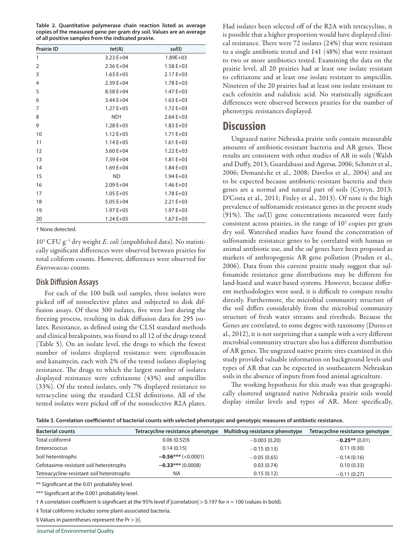**Table 2. Quantitative polymerase chain reaction listed as average copies of the measured gene per gram dry soil. Values are an average of all positive samples from the indicated prairie.**

| <b>Prairie ID</b> | tet(A)          | sul(1)        |
|-------------------|-----------------|---------------|
| 1                 | $3.23 E + 04$   | $1.89E + 03$  |
| 2                 | $2.36E+04$      | $1.58E + 03$  |
| 3                 | $1.63 E + 05$   | $2.17E + 03$  |
| 4                 | $2.39E+04$      | $1.78E + 03$  |
| 5                 | 8.58 E+04       | $1.47E + 03$  |
| 6                 | 3.44 E+04       | $1.63 E + 03$ |
| 7                 | $1.27E + 05$    | $1.72E + 03$  |
| 8                 | ND <sup>+</sup> | $2.64E + 03$  |
| 9                 | $1.28E + 05$    | $1.83 E + 03$ |
| 10                | $1.12 E + 05$   | $1.71E + 03$  |
| 11                | $1.14E + 05$    | $1.61 E + 03$ |
| 12                | $3.60 E + 04$   | $1.22 E + 03$ |
| 13                | 7.39 E+04       | $1.81 E + 03$ |
| 14                | $1.69E + 04$    | $1.84E + 03$  |
| 15                | <b>ND</b>       | $1.94E + 03$  |
| 16                | $2.09E + 04$    | $1.46 E + 03$ |
| 17                | $1.05 E + 05$   | $1.78E + 03$  |
| 18                | $5.05 E + 04$   | $2.21 E + 03$ |
| 19                | $1.97E + 05$    | $1.97E + 03$  |
| 20                | $1.24E + 05$    | $1.67E + 03$  |

† None detected.

103 CFU g−1 dry weight *E. coli* (unpublished data). No statistically significant differences were observed between prairies for total coliform counts. However, differences were observed for *Enterococcus* counts.

#### **Disk Diffusion Assays**

For each of the 100 bulk soil samples, three isolates were picked off of nonselective plates and subjected to disk diffusion assays. Of these 300 isolates, five were lost during the freezing process, resulting in disk diffusion data for 295 isolates. Resistance, as defined using the CLSI standard methods and clinical breakpoints, was found to all 12 of the drugs tested (Table 5). On an isolate level, the drugs to which the fewest number of isolates displayed resistance were ciprofloxacin and kanamycin, each with 2% of the tested isolates displaying resistance. The drugs to which the largest number of isolates displayed resistance were ceftriaxone (43%) and ampicillin (33%). Of the tested isolates, only 7% displayed resistance to tetracycline using the standard CLSI definitions. All of the tested isolates were picked off of the nonselective R2A plates.

Had isolates been selected off of the R2A with tetracycline, it is possible that a higher proportion would have displayed clinical resistance. There were 72 isolates (24%) that were resistant to a single antibiotic tested and 141 (48%) that were resistant to two or more antibiotics tested. Examining the data on the prairie level, all 20 prairies had at least one isolate resistant to ceftriaxone and at least one isolate resistant to ampicillin. Nineteen of the 20 prairies had at least one isolate resistant to each cefoxitin and nalidixic acid. No statistically significant differences were observed between prairies for the number of phenotypic resistances displayed.

# **Discussion**

Ungrazed native Nebraska prairie soils contain measurable amounts of antibiotic-resistant bacteria and AR genes. These results are consistent with other studies of AR in soils (Walsh and Duffy, 2013; Guardabassi and Agersø, 2006; Schmitt et al., 2006; Demanèche et al., 2008; Davelos et al., 2004) and are to be expected because antibiotic-resistant bacteria and their genes are a normal and natural part of soils (Cytryn, 2013; D'Costa et al., 2011; Finley et al., 2013). Of note is the high prevalence of sulfonamide resistance genes in the present study (91%). The *sul*(I) gene concentrations measured were fairly consistent across prairies, in the range of  $10<sup>3</sup>$  copies per gram dry soil. Watershed studies have found the concentration of sulfonamide resistance genes to be correlated with human or animal antibiotic use, and the *sul* genes have been proposed as markers of anthropogenic AR gene pollution (Pruden et al., 2006). Data from this current prairie study suggest that sulfonamide resistance gene distributions may be different for land-based and water-based systems. However, because different methodologies were used, it is difficult to compare results directly. Furthermore, the microbial community structure of the soil differs considerably from the microbial community structure of fresh water streams and riverbeds. Because the Genes are correlated, to some degree with taxonomy (Durso et al., 2012), it is not surprising that a sample with a very different microbial community structure also has a different distribution of AR genes. The ungrazed native prairie sites examined in this study provided valuable information on background levels and types of AR that can be expected in southeastern Nebraskan soils in the absence of inputs from food animal agriculture.

The working hypothesis for this study was that geographically clustered ungrazed native Nebraska prairie soils would display similar levels and types of AR. More specifically,

| Table 3. Correlation coefficients† of bacterial counts with selected phenotypic and genotypic measures of antibiotic resistance. |  |
|----------------------------------------------------------------------------------------------------------------------------------|--|
|----------------------------------------------------------------------------------------------------------------------------------|--|

| <b>Bacterial counts</b>                   | Tetracycline resistance phenotype | Multidrug resistance phenotype | Tetracycline resistance genotype |
|-------------------------------------------|-----------------------------------|--------------------------------|----------------------------------|
| Total coliform‡                           | $0.06(0.52)$ §                    | $-0.003(0.20)$                 | $-0.25**$ (0.01)                 |
| Enterococcus                              | 0.14(0.15)                        | $-0.15(0.13)$                  | 0.11(0.30)                       |
| Soil heterotrophs                         | $-0.56***$ (<0.0001)              | $-0.05(0.65)$                  | $-0.14(0.16)$                    |
| Cefotaxime-resistant soil heterotrophs    | $-0.33***(0.0008)$                | 0.03(0.74)                     | 0.10(0.33)                       |
| Tetreacycline-resistant soil heterotrophs | <b>NA</b>                         | 0.15(0.12)                     | $-0.11(0.27)$                    |

\*\* Significant at the 0.01 probability level.

\*\*\* Significant at the 0.001 probability level.

† A correlation coefficient is significant at the 95% level if |correlation| > 0.197 for *n* = 100 (values in bold).

‡ Total coliforms includes some plant-associated bacteria.

§ Values in parentheses represent the Pr > |r|.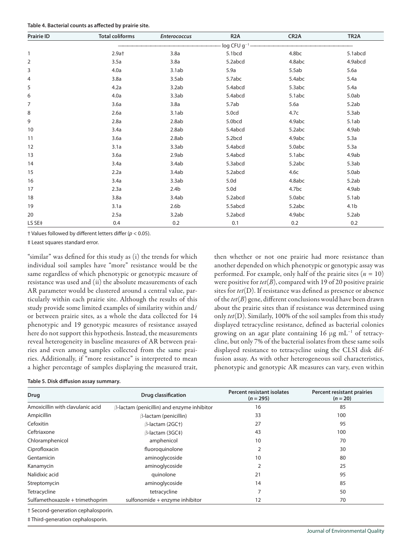|  |  | Table 4. Bacterial counts as affected by prairie site. |  |
|--|--|--------------------------------------------------------|--|
|--|--|--------------------------------------------------------|--|

| <b>Prairie ID</b> | <b>Total coliforms</b> | <b>Enterococcus</b> | R <sub>2</sub> A        | CR <sub>2</sub> A | TR <sub>2</sub> A |
|-------------------|------------------------|---------------------|-------------------------|-------------------|-------------------|
|                   |                        |                     | log CFU g <sup>-1</sup> |                   |                   |
| 1                 | 2.9at                  | 3.8a                | 5.1bcd                  | 4.8bc             | 5.1abcd           |
| 2                 | 3.5a                   | 3.8a                | 5.2abcd                 | 4.8abc            | 4.9abcd           |
| 3                 | 4.0a                   | 3.1ab               | 5.9a                    | 5.5ab             | 5.6a              |
| 4                 | 3.8a                   | 3.5ab               | 5.7abc                  | 5.4abc            | 5.4a              |
| 5                 | 4.2a                   | 3.2ab               | 5.4abcd                 | 5.3abc            | 5.4a              |
| 6                 | 4.0a                   | 3.3ab               | 5.4abcd                 | 5.1abc            | 5.0ab             |
| 7                 | 3.6a                   | 3.8a                | 5.7ab                   | 5.6a              | 5.2ab             |
| 8                 | 2.6a                   | 3.1ab               | 5.0cd                   | 4.7c              | 5.3ab             |
| 9                 | 2.8a                   | 2.8ab               | 5.0bcd                  | 4.9abc            | 5.1ab             |
| 10                | 3.4a                   | 2.8ab               | 5.4abcd                 | 5.2abc            | 4.9ab             |
| 11                | 3.6a                   | 2.8ab               | 5.2bcd                  | 4.9abc            | 5.3a              |
| 12                | 3.1a                   | 3.3ab               | 5.4abcd                 | 5.0abc            | 5.3a              |
| 13                | 3.6a                   | 2.9ab               | 5.4abcd                 | 5.1abc            | 4.9ab             |
| 14                | 3.4a                   | 3.4ab               | 5.3abcd                 | 5.2abc            | 5.3ab             |
| 15                | 2.2a                   | 3.4ab               | 5.2abcd                 | 4.6c              | 5.0ab             |
| 16                | 3.4a                   | 3.3ab               | 5.0d                    | 4.8abc            | 5.2ab             |
| 17                | 2.3a                   | 2.4 <sub>b</sub>    | 5.0d                    | 4.7bc             | 4.9ab             |
| 18                | 3.8a                   | 3.4ab               | 5.2abcd                 | 5.0abc            | 5.1ab             |
| 19                | 3.1a                   | 2.6 <sub>b</sub>    | 5.5abcd                 | 5.2abc            | 4.1 <sub>b</sub>  |
| 20                | 2.5a                   | 3.2ab               | 5.2abcd                 | 4.9abc            | 5.2ab             |
| LS SE‡            | 0.4                    | 0.2                 | 0.1                     | 0.2               | 0.2               |

† Values followed by different letters differ (*p* < 0.05).

‡ Least squares standard error.

"similar" was defined for this study as (i) the trends for which individual soil samples have "more" resistance would be the same regardless of which phenotypic or genotypic measure of resistance was used and (ii) the absolute measurements of each AR parameter would be clustered around a central value, particularly within each prairie site. Although the results of this study provide some limited examples of similarity within and/ or between prairie sites, as a whole the data collected for 14 phenotypic and 19 genotypic measures of resistance assayed here do not support this hypothesis. Instead, the measurements reveal heterogeneity in baseline measures of AR between prairies and even among samples collected from the same prairies. Additionally, if "more resistance" is interpreted to mean a higher percentage of samples displaying the measured trait,

then whether or not one prairie had more resistance than another depended on which phenotypic or genotypic assay was performed. For example, only half of the prairie sites  $(n = 10)$ were positive for  $tet(B)$ , compared with 19 of 20 positive prairie sites for *tet*(D). If resistance was defined as presence or absence of the *tet*(*B*) gene, different conclusions would have been drawn about the prairie sites than if resistance was determined using only *tet*(D). Similarly, 100% of the soil samples from this study displayed tetracycline resistance, defined as bacterial colonies growing on an agar plate containing 16  $\mu$ g mL<sup>-1</sup> of tetracycline, but only 7% of the bacterial isolates from these same soils displayed resistance to tetracycline using the CLSI disk diffusion assay. As with other heterogeneous soil characteristics, phenotypic and genotypic AR measures can vary, even within

**Table 5. Disk diffusion assay summary.**

| Drug                               | <b>Drug classification</b>                        | <b>Percent resistant isolates</b><br>$(n = 295)$ | <b>Percent resistant prairies</b><br>$(n = 20)$ |
|------------------------------------|---------------------------------------------------|--------------------------------------------------|-------------------------------------------------|
| Amoxicillin with clavulanic acid   | $\beta$ -lactam (penicillin) and enzyme inhibitor | 16                                               | 85                                              |
| Ampicillin                         | $\beta$ -lactam (penicillin)                      | 33                                               | 100                                             |
| Cefoxitin                          | B-lactam (2GC+)                                   | 27                                               | 95                                              |
| Ceftriaxone                        | B-lactam (3GC‡)                                   | 43                                               | 100                                             |
| Chloramphenicol                    | amphenicol                                        | 10                                               | 70                                              |
| Ciprofloxacin                      | fluoroquinolone                                   | $\overline{2}$                                   | 30                                              |
| Gentamicin                         | aminoglycoside                                    | 10                                               | 80                                              |
| Kanamycin                          | aminoglycoside                                    | $\overline{2}$                                   | 25                                              |
| Nalidixic acid                     | quinolone                                         | 21                                               | 95                                              |
| Streptomycin                       | aminoglycoside                                    | 14                                               | 85                                              |
| Tetracycline                       | tetracycline                                      | 7                                                | 50                                              |
| Sulfamethoxazole + trimethoprim    | sulfonomide + enzyme inhibitor                    | 12                                               | 70                                              |
| † Second-generation cephalosporin. |                                                   |                                                  |                                                 |

‡ Third-generation cephalosporin.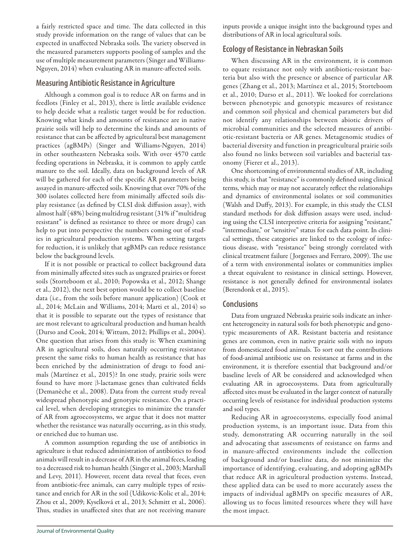a fairly restricted space and time. The data collected in this study provide information on the range of values that can be expected in unaffected Nebraska soils. The variety observed in the measured parameters supports pooling of samples and the use of multiple measurement parameters (Singer and Williams-Nguyen, 2014) when evaluating AR in manure-affected soils.

# **Measuring Antibiotic Resistance in Agriculture**

Although a common goal is to reduce AR on farms and in feedlots (Finley et al., 2013), there is little available evidence to help decide what a realistic target would be for reduction. Knowing what kinds and amounts of resistance are in native prairie soils will help to determine the kinds and amounts of resistance that can be affected by agricultural best management practices (agBMPs) (Singer and Williams-Nguyen, 2014) in other southeastern Nebraska soils. With over 4570 cattle feeding operations in Nebraska, it is common to apply cattle manure to the soil. Ideally, data on background levels of AR will be gathered for each of the specific AR parameters being assayed in manure-affected soils. Knowing that over 70% of the 300 isolates collected here from minimally affected soils display resistance (as defined by CLSI disk diffusion assay), with almost half (48%) being multidrug resistant (31% if "multidrug resistant" is defined as resistance to three or more drugs) can help to put into perspective the numbers coming out of studies in agricultural production systems. When setting targets for reduction, it is unlikely that agBMPs can reduce resistance below the background levels.

If it is not possible or practical to collect background data from minimally affected sites such as ungrazed prairies or forest soils (Storteboom et al., 2010; Popowska et al., 2012; Shange et al., 2012), the next best option would be to collect baseline data (i.e., from the soils before manure application) (Cook et al., 2014; McLain and Williams, 2014; Marti et al., 2014) so that it is possible to separate out the types of resistance that are most relevant to agricultural production and human health (Durso and Cook, 2014; Wittum, 2012; Phillips et al., 2004). One question that arises from this study is: When examining AR in agricultural soils, does naturally occurring resistance present the same risks to human health as resistance that has been enriched by the administration of drugs to food animals (Martínez et al., 2015)? In one study, prairie soils were found to have more  $\beta$ -lactamase genes than cultivated fields (Demanèche et al., 2008). Data from the current study reveal widespread phenotypic and genotypic resistance. On a practical level, when developing strategies to minimize the transfer of AR from agroecosystems, we argue that it does not matter whether the resistance was naturally occurring, as in this study, or enriched due to human use.

A common assumption regarding the use of antibiotics in agriculture is that reduced administration of antibiotics to food animals will result in a decrease of AR in the animal feces, leading to a decreased risk to human health (Singer et al., 2003; Marshall and Levy, 2011). However, recent data reveal that feces, even from antibiotic-free animals, can carry multiple types of resistance and enrich for AR in the soil (Udikovic-Kolic et al., 2014; Zhou et al., 2009; Kyselková et al., 2013; Schmitt et al., 2006). Thus, studies in unaffected sites that are not receiving manure

inputs provide a unique insight into the background types and distributions of AR in local agricultural soils.

# **Ecology of Resistance in Nebraskan Soils**

When discussing AR in the environment, it is common to equate resistance not only with antibiotic-resistant bacteria but also with the presence or absence of particular AR genes (Zhang et al., 2013; Martínez et al., 2015; Storteboom et al., 2010; Durso et al., 2011). We looked for correlations between phenotypic and genotypic measures of resistance and common soil physical and chemical parameters but did not identify any relationships between abiotic drivers of microbial communities and the selected measures of antibiotic-resistant bacteria or AR genes. Metagenomic studies of bacterial diversity and function in preagricultural prairie soils also found no links between soil variables and bacterial taxonomy (Fierer et al., 2013).

One shortcoming of environmental studies of AR, including this study, is that "resistance" is commonly defined using clinical terms, which may or may not accurately reflect the relationships and dynamics of environmental isolates or soil communities (Walsh and Duffy, 2013). For example, in this study the CLSI standard methods for disk diffusion assays were used, including using the CLSI interpretive criteria for assigning "resistant," "intermediate," or "sensitive" status for each data point. In clinical settings, these categories are linked to the ecology of infectious disease, with "resistance" being strongly correlated with clinical treatment failure ( Jorgenses and Ferraro, 2009). The use of a term with environmental isolates or communities implies a threat equivalent to resistance in clinical settings. However, resistance is not generally defined for environmental isolates (Berendonk et al., 2015).

# **Conclusions**

Data from ungrazed Nebraska prairie soils indicate an inherent heterogeneity in natural soils for both phenotypic and genotypic measurements of AR. Resistant bacteria and resistance genes are common, even in native prairie soils with no inputs from domesticated food animals. To sort out the contributions of food-animal antibiotic use on resistance at farms and in the environment, it is therefore essential that background and/or baseline levels of AR be considered and acknowledged when evaluating AR in agroecosystems. Data from agriculturally affected sites must be evaluated in the larger context of naturally occurring levels of resistance for individual production systems and soil types.

Reducing AR in agroecosystems, especially food animal production systems, is an important issue. Data from this study, demonstrating AR occurring naturally in the soil and advocating that assessments of resistance on farms and in manure-affected environments include the collection of background and/or baseline data, do not minimize the importance of identifying, evaluating, and adopting agBMPs that reduce AR in agricultural production systems. Instead, these applied data can be used to more accurately assess the impacts of individual agBMPs on specific measures of AR, allowing us to focus limited resources where they will have the most impact.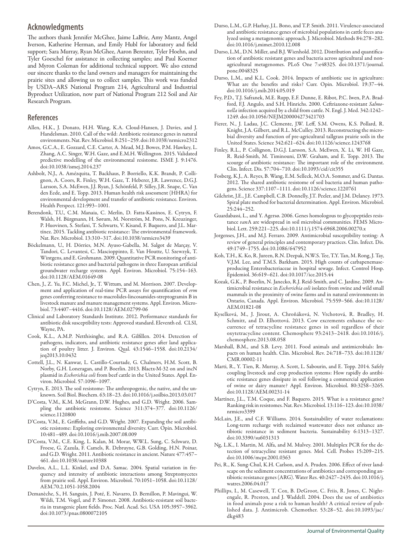## **Acknowledgments**

The authors thank Jennifer McGhee, Jaime LaBrie, Amy Mantz, Angel Iverson, Katherine Herman, and Emily Hubl for laboratory and field support; Sara Murray, Ryan McGhee, Aaron Bereuter, Tyler Hoehn, and Tyler Goeschel for assistance in collecting samples; and Paul Koerner and Myron Coleman for additional technical support. We also extend our sincere thanks to the land owners and managers for maintaining the prairie sites and allowing us to collect samples. This work was funded by USDA–ARS National Program 214, Agricultural and Industrial Byproduct Utilization, now part of National Program 212 Soil and Air Research Program.

#### **References**

- Allen, H.K., J. Donato, H.H. Wang, K.A. Cloud-Hansen, J. Davies, and J. Handelsman. 2010. Call of the wild: Antibiotic resistance genes in natural environments. Nat. Rev. Microbiol. 8:251–259. [doi:10.1038/nrmicro2312](http://dx.doi.org/10.1038/nrmicro2312)
- Amos, G.C.A., E. Gozzard, C.E. Carter, A. Mead, M.J. Bowes, P.M. Hawkey, L. Zhang, A.C. Singer, W.H. Gaze, and E.M.H. Wellington. 2015. Validated predictive modelling of the environmental resistome. ISME J. 9:1476. [doi:10.1038/ismej.2014.237](http://dx.doi.org/10.1038/ismej.2014.237)
- Ashbolt, N.J., A. Amézquita, T. Backhaus, P. Borriello, K.K. Brandt, P. Collignon, A. Coors, R. Finley, W.H. Gaze, T. Heberer, J.R. Lawrence, D.G.J. Larsson, S.A. McEwen, J.J. Ryan, J. Schönfeld, P. Silley, J.R. Snape, C. Van den Eede, and E. Topp. 2013. Human health risk assessment (HHRA) for environmental development and transfer of antibiotic resistance. Environ. Health Perspect. 121:993–1001.
- Berendonk, T.U., C.M. Manaia, C. Merlin, D. Fatta-Kassinos, E. Cytryn, F. Walsh, H. Bürgmann, H. Sørum, M. Norström, M. Pons, N. Kreuzinger, P. Huovinen, S. Stefani, T. Schwarts, V. Kisand, F. Baquero, and J.L. Martínez. 2015. Tackling antibiotic resistance: The environmental framework. Nat. Rev. Microbiol. 13:310–317. [doi:10.1038/nrmicro3439](http://dx.doi.org/10.1038/nrmicro3439)
- Böckelmann, U., H. Dörries, M.N. Ayuso-Gabella, M. Salgot de Marçay, V. Tandori, C. Levantesi, C. Mascioppinto, E. Van Houtte, U. Szewzyk, T. Wintgens, and E. Grohmann. 2009. Quantitative PCR monitoring of antibiotic resistance genes and bacterial pathogens in three European artificial groundwater recharge systems. Appl. Environ. Microbiol. 75:154–163. [doi:10.1128/AEM.01649-08](http://dx.doi.org/10.1128/AEM.01649-08)
- Chen, J., Z. Yu, F.C. Michel, Jr., T. Wittum, and M. Morrison. 2007. Development and application of real-time PCR assays for quantification of *erm* genes conferring resistance to macrolides-lincosamides-streptogramin B in livestock manure and manure management systems. Appl. Environ. Microbiol. 73:4407–4416. [doi:10.1128/AEM.02799-06](http://dx.doi.org/10.1128/AEM.02799-06)
- Clinical and Laboratory Standards Institute. 2012. Performance standards for antibiotic disk susceptibility tests: Approved standard. Eleventh ed. CLSI, Wayne, PA.
- Cook, K.L., A.M.P. Netthisinghe, and R.A. Gilfillen. 2014. Detection of pathogens, indicators, and antibiotic resistance genes after land application of poultry litter. J. Environ. Qual. 43:1546–1558. [doi:10.2134/](http://dx.doi.org/10.2134/jeq2013.10.0432) [jeq2013.10.0432](http://dx.doi.org/10.2134/jeq2013.10.0432)
- Cottell, J.L., N. Kanwar, L. Castillo-Courtade, G. Chalmers, H.M. Scott, B. Norby, G.H. Loneragan, and P. Boerlin. 2013. Blactx-M-32 on and incN plasmid in *Escherichia coli* from beef cattle in the United States. Appl. Environ. Microbiol. 57:1096–1097.
- Cytryn, E. 2013. The soil resistome: The anthropogenic, the native, and the unknown. Soil Biol. Biochem. 63:18–23. [doi:10.1016/j.soilbio.2013.03.017](http://dx.doi.org/10.1016/j.soilbio.2013.03.017)
- D'Costa, V.M., K.M. McGrann, D.W. Hughes, and G.D. Wright. 2006. Sampling the antibiotic resistome. Science 311:374–377. [doi:10.1126/](http://dx.doi.org/10.1126/science.1120800) [science.1120800](http://dx.doi.org/10.1126/science.1120800)
- D'Costa, V.M., E. Griffiths, and G.D. Wright. 2007. Expanding the soil antibiotic resistome: Exploring environmental diversity. Curr. Opin. Microbiol. 10:481–489. [doi:10.1016/j.mib.2007.08.009](http://dx.doi.org/10.1016/j.mib.2007.08.009)
- D'Costa, V.M., C.E. King, L. Kalan, M. Morar, W.W.L. Sung, C. Schwarz, D. Froese, G. Zazula, F. Camels, R. Debruyne, G.B. Golding, H.N. Poinar, and G.D. Wright. 2011. Antibiotic resistance in ancient. Nature 477:457– 461. [doi:10.1038/nature10388](http://dx.doi.org/10.1038/nature10388)
- Davelos, A.L., L.L. Kinkel, and D.A. Samac. 2004. Spatial variation in frequency and intensity of antibiotic interactions among Streptomycetes from prairie soil. Appl. Environ. Microbiol. 70:1051–1058. [doi:10.1128/](http://dx.doi.org/10.1128/AEM.70.2.1051-1058.2004) [AEM.70.2.1051-1058.2004](http://dx.doi.org/10.1128/AEM.70.2.1051-1058.2004)
- Demanèche, S., H. Sanguin, J. Poté, E. Navarro, D. Bernillon, P. Mavingui, W. Wildi, T.M. Vogel, and P. Simonet. 2008. Antibiotic-resistant soil bacteria in transgenic plant fields. Proc. Natl. Acad. Sci. USA 105:3957–3962. [doi:10.1073/pnas.0800072105](http://dx.doi.org/10.1073/pnas.0800072105)
- Durso, L.M., G.P. Harhay, J.L. Bono, and T.P. Smith. 2011. Virulence-associated and antibiotic resistance genes of microbial populations in cattle feces analyzed using a metagenomic approach. J. Microbiol. Methods 84:278–282. [doi:10.1016/j.mimet.2010.12.008](http://dx.doi.org/10.1016/j.mimet.2010.12.008)
- Durso, L.M., D.N. Miller, and B.J. Wienhold. 2012. Distribution and quantification of antibiotic resistant genes and bacteria across agricultural and nonagricultural metagenomes. PLoS One 7:e48325. [doi:10.1371/journal.](http://dx.doi.org/10.1371/journal.pone.0048325) [pone.0048325](http://dx.doi.org/10.1371/journal.pone.0048325)
- Durso, L.M., and K.L. Cook. 2014. Impacts of antibiotic use in agriculture: What are the benefits and risks? Curr. Opin. Microbiol. 19:37–44. [doi:10.1016/j.mib.2014.05.019](http://dx.doi.org/10.1016/j.mib.2014.05.019)
- Fey, P.D., T.J. Safranek, M.E. Rupp, E.F. Dunne, E. Ribot, P.C. Iwen, P.A. Bradford, F.J. Angulo, and S.H. Hinrichs. 2000. Ceftriaxone-resistant *Salmonella* infection acquired by a child from cattle. N. Engl. J. Med. 342:1242– 1249. [doi:10.1056/NEJM200004273421703](http://dx.doi.org/10.1056/NEJM200004273421703)
- Fierer, N., J. Ladau, J.C. Clemente, J.W. Leff, S.M. Owens, K.S. Pollard, R. Knight, J.A. Gilbert, and R.L. McCulley. 2013. Reconstructing the microbial diversity and function of pre-agricultural tallgrass prairie soils in the United States. Science 342:621–624. [doi:10.1126/science.1243768](http://dx.doi.org/10.1126/science.1243768)
- Finley, R.L., P. Collignon, D.G.J. Larsson, S.A. McEwen, X. Li, W. Hl Gaze, R. Reid-Smith, M. Timinouni, D.W. Graham, and E. Topp. 2013. The scourge of antibiotic resistance: The important role of the environment. Clin. Infect. Dis. 57:704–710. [doi:10.1093/cid/cit355](http://dx.doi.org/10.1093/cid/cit355)
- Fosberg, K.J., A. Reyes, B. Wang, E.M. Selleck, M.O.A. Sommer, and G. Dantas. 2012. The shared antibiotic resistome of soil bacteria and human pathogens. Science 337:1107–1111. doi:10.1126/science.1220761
- Gilchrist, J.E., J.E. Campbell, C.B. Donnelly, J.T. Peeler, and J.M. Delaney. 1973. Spiral plate method for bacterial determination. Appl. Environ. Microbiol. 25:244–252.
- Guardabassi, L., and Y. Agersø. 2006. Genes homologous to glycopeptides resistance *van*A are widespread in soil microbial communities. FEMS Microbiol. Lett. 259:221–225. [doi:10.1111/j.1574-6968.2006.00270.x](http://dx.doi.org/10.1111/j.1574-6968.2006.00270.x)
- Jorgenses, J.H., and M.J. Ferraro. 2009. Antimicrobial susceptibility testing: A review of general principles and contemporary practices. Clin. Infect. Dis. 49:1749–1755. doi:10.1086/647952
- Koh, T.H., K. Ko, R. Jureen, R.N. Deepak, N.W.S. Tee, T.Y. Tan, M. Rong, J. Tay, V.J.M. Lee, and T.M.S. Barkham. 2015. High counts of carbapenemaseproducing Enterobacteriaceae in hospital sewage. Infect. Control Hosp. Epidemiol. 36:619–621. [doi:10.1017/ice.2015.44](http://dx.doi.org/10.1017/ice.2015.44)
- Kozak, G.K., P. Boerlin, N. Janecko, R.J. Reid-Smith, and C. Jardine. 2009. Antimicrobial resistance in *Escherichia coli* isolates from swine and wild small mammals in the proximity of swine farms and in natural environments in Ontario, Canada. Appl. Environ. Microbiol. 75:559–566. [doi:10.1128/](http://dx.doi.org/10.1128/AEM.01821-08) [AEM.01821-08](http://dx.doi.org/10.1128/AEM.01821-08)
- Kyselková, M., J. Jirout, A. Chroňáková, N. Vrchotová, R. Bradley, H. Schmitt, and D. Elhottová. 2013. Cow excrements enhance the occurrence of tetracycline resistance genes in soil regardless of their oxytetracycline content. Chemosphere 93:2413–2418. [doi:10.1016/j.](http://dx.doi.org/10.1016/j.chemosphere.2013.08.058) [chemosphere.2013.08.058](http://dx.doi.org/10.1016/j.chemosphere.2013.08.058)
- Marshall, B.M., and S.B. Levy. 2011. Food animals and antimicrobials: Impacts on human health. Clin. Microbiol. Rev. 24:718–733. [doi:10.1128/](http://dx.doi.org/10.1128/CMR.00002-11) [CMR.00002-11](http://dx.doi.org/10.1128/CMR.00002-11)
- Marti, R., Y. Tien, R. Murray, A. Scott, L. Sabourin, and E. Topp. 2014. Safely coupling livestock and crop production systems: How rapidly do antibiotic resistance genes dissipate in soil following a commercial application of swine or dairy manure? Appl. Environ. Microbiol. 80:3258–3265. [doi:10.1128/AEM.00231-14](http://dx.doi.org/10.1128/AEM.00231-14)
- Martínez, J.L., T.M. Coque, and F. Baquero. 2015. What is a resistance gene? Ranking risk in resistomes. Nat. Rev. Microbiol. 13:116–123. [doi:10.1038/](http://dx.doi.org/10.1038/nrmicro3399) [nrmicro3399](http://dx.doi.org/10.1038/nrmicro3399)
- McLain, J.E., and C.F. Williams. 2014. Sustainability of water reclamations: Long-term recharge with reclaimed wastewater does not enhance antibiotic resistance in sediment bacteria. Sustainability 6:1313–1327. [doi:10.3390/su6031313](http://dx.doi.org/10.3390/su6031313)
- Ng, L.K., I. Martin, M. Alfa, and M. Mulvey. 2001. Multiplex PCR for the detection of tetracycline resistant genes. Mol. Cell. Probes 15:209–215. [doi:10.1006/mcpr.2001.0363](http://dx.doi.org/10.1006/mcpr.2001.0363)
- Pei, R., K. Sung-Chul, K.H. Carlson, and A. Pruden. 2006. Effect of river landscape on the sediment concentrations of antibiotics and corresponding antibiotic resistance genes (ARG). Water Res. 40:2427–2435. [doi:10.1016/j.](http://dx.doi.org/10.1016/j.watres.2006.04.017) [watres.2006.04.017](http://dx.doi.org/10.1016/j.watres.2006.04.017)
- Phillips, I., M. Casewell, T. Cox, B. DeGroot, C. Friis, R. Jones, C. Nightengale, R. Preston, and J. Waddell. 2004. Does the use of antibiotics in food animals pose a risk to human health? A critical review of published data. J. Antimicrob. Chemother. 53:28–52. [doi:10.1093/jac/](http://dx.doi.org/10.1093/jac/dkg483) [dkg483](http://dx.doi.org/10.1093/jac/dkg483)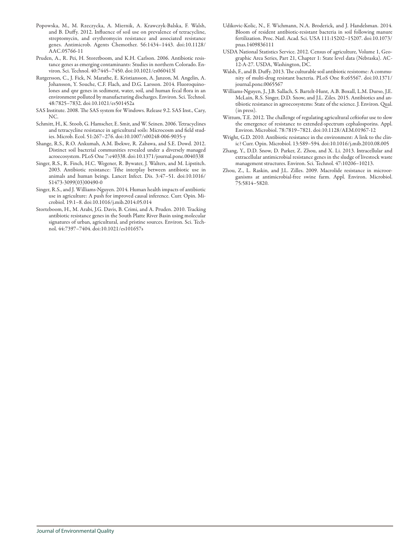- Popowska, M., M. Rzeczycka, A. Miernik, A. Krawczyk-Balska, F. Walsh, and B. Duffy. 2012. Influence of soil use on prevalence of tetracycline, streptomycin, and erythromycin resistance and associated resistance genes. Antimicrob. Agents Chemother. 56:1434–1443. [doi:10.1128/](http://dx.doi.org/10.1128/AAC.05766-11) [AAC.05766-11](http://dx.doi.org/10.1128/AAC.05766-11)
- Pruden, A., R. Pei, H. Storetboom, and K.H. Carlson. 2006. Antibiotic resistance genes as emerging contaminants: Studies in northern Colorado. Environ. Sci. Technol. 40:7445–7450. [doi:10.1021/es060413l](http://dx.doi.org/10.1021/es060413l)
- Rutgersson, C., J. Fick, N. Marathe, E. Kristiansson, A. Janzon, M. Angelin, A. Johansson, Y. Souche, C.F. Flach, and D.G. Larsson. 2014. Fluoroquinolones and qnr genes in sediment, water, soil, and human fecal flora in an environment polluted by manufacturing discharges. Environ. Sci. Technol. 48:7825–7832. [doi:10.1021/es501452a](http://dx.doi.org/10.1021/es501452a)
- SAS Institute. 2008. The SAS system for Windows. Release 9.2. SAS Inst., Cary, NC.
- Schmitt, H., K. Stoob, G. Hamscher, E. Smit, and W. Seinen. 2006. Tetracyclines and tetracycline resistance in agricultural soils: Microcosm and field studies. Microb. Ecol. 51:267–276. [doi:10.1007/s00248-006-9035-y](http://dx.doi.org/10.1007/s00248-006-9035-y)
- Shange, R.S., R.O. Ankumah, A.M. Ibekwe, R. Zabawa, and S.E. Dowd. 2012. Distinct soil bacterial communities revealed under a diversely managed acroecosystem. PLoS One 7:e40338. [doi:10.1371/journal.pone.0040338](http://dx.doi.org/10.1371/journal.pone.0040338)
- Singer, R.S., R. Finch, H.C. Wegener, R. Bywater, J. Walters, and M. Lipstitch. 2003. Antibiotic resistance: Tthe interplay between antibiotic use in animals and human beings. Lancet Infect. Dis. 3:47–51. [doi:10.1016/](http://dx.doi.org/10.1016/S1473-3099(03)00490-0) [S1473-3099\(03\)00490-0](http://dx.doi.org/10.1016/S1473-3099(03)00490-0)
- Singer, R.S., and J. Williams-Nguyen. 2014. Human health impacts of antibiotic use in agriculture: A push for improved causal inference. Curr. Opin. Microbiol. 19:1–8. [doi:10.1016/j.mib.2014.05.014](http://dx.doi.org/10.1016/j.mib.2014.05.014)
- Storteboom, H., M. Arabi, J.G. Davis, B. Crimi, and A. Pruden. 2010. Tracking antibiotic resistance genes in the South Platte River Basin using molecular signatures of urban, agricultural, and pristine sources. Environ. Sci. Technol. 44:7397–7404. [doi:10.1021/es101657s](http://dx.doi.org/10.1021/es101657s)
- Udikovic-Kolic, N., F. Wichmann, N.A. Broderick, and J. Handelsman. 2014. Bloom of resident antibiotic-resistant bacteria in soil following manure fertilization. Proc. Natl. Acad. Sci. USA 111:15202–15207. [doi:10.1073/](http://dx.doi.org/10.1073/pnas.1409836111) [pnas.1409836111](http://dx.doi.org/10.1073/pnas.1409836111)
- USDA National Statistics Service. 2012. Census of agriculture, Volume 1, Geographic Area Series, Part 21, Chapter 1: State level data (Nebraska). AC-12-A-27. USDA, Washington, DC.
- Walsh, F., and B. Duffy. 2013. The culturable soil antibiotic resistome: A community of multi-drug resistant bacteria. PLoS One 8:e65567. [doi:10.1371/](http://dx.doi.org/10.1371/journal.pone.0065567) [journal.pone.0065567](http://dx.doi.org/10.1371/journal.pone.0065567)
- Williams-Nguyen, J., J.B. Sallach, S. Bartelt-Hunt, A.B. Boxall, L.M. Durso, J.E. McLain, R.S. Singer, D.D. Snow, and J.L. Ziles. 2015. Antibiotics and antibiotic resistance in agroecosystems: State of the science. J. Environ. Qual. (in press).
- Wittum, T.E. 2012. The challenge of regulating agricultural ceftiofur use to slow the emergence of resistance to extended-spectrum cephalosporins. Appl. Environ. Microbiol. 78:7819–7821. [doi:10.1128/AEM.01967-12](http://dx.doi.org/10.1128/AEM.01967-12)
- Wright, G.D. 2010. Antibiotic resistance in the environment: A link to the clinic? Curr. Opin. Microbiol. 13:589–594. [doi:10.1016/j.mib.2010.08.005](http://dx.doi.org/10.1016/j.mib.2010.08.005)
- Zhang, Y., D.D. Snow, D. Parker, Z. Zhou, and X. Li. 2013. Intracellular and extracellular antimicrobial resistance genes in the sludge of livestock waste management structures. Environ. Sci. Technol. 47:10206–10213.
- Zhou, Z., L. Raskin, and J.L. Zilles. 2009. Macrolide resistance in microorganisms at antimicrobial-free swine farm. Appl. Environ. Microbiol. 75:5814–5820.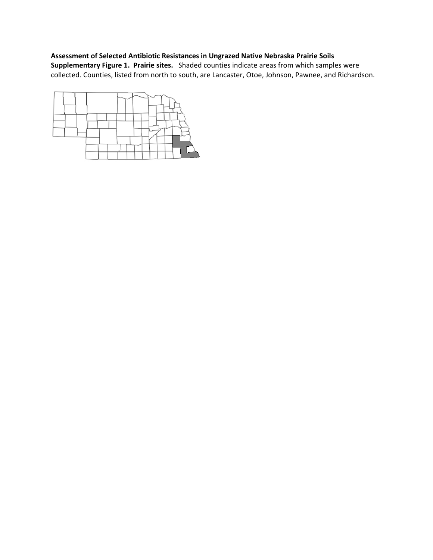# **Assessment of Selected Antibiotic Resistances in Ungrazed Native Nebraska Prairie Soils Supplementary Figure 1. Prairie sites.** Shaded counties indicate areas from which samples were collected. Counties, listed from north to south, are Lancaster, Otoe, Johnson, Pawnee, and Richardson.

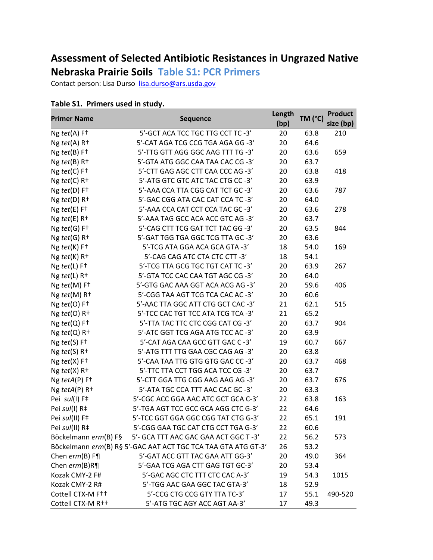# **Assessment of Selected Antibiotic Resistances in Ungrazed Native**

# **Nebraska Prairie Soils Table S1: PCR Primers**

Contact person: Lisa Durso lisa.durso@ars.usda.gov

| <b>Primer Name</b>                  | <b>Sequence</b>                                               | Length<br>(bp) | TM (°C) | <b>Product</b><br>size (bp) |
|-------------------------------------|---------------------------------------------------------------|----------------|---------|-----------------------------|
| $Ng \text{ } tet(A) F+$             | 5'-GCT ACA TCC TGC TTG CCT TC -3'                             | 20             | 63.8    | 210                         |
| Ng $tet(A)$ R <sup>+</sup>          | 5'-CAT AGA TCG CCG TGA AGA GG -3'                             | 20             | 64.6    |                             |
| $Ng \text{ } tet(B) F+$             | 5'-TTG GTT AGG GGC AAG TTT TG -3'                             | 20             | 63.6    | 659                         |
| Ng $tet(B)$ R <sup>+</sup>          | 5'-GTA ATG GGC CAA TAA CAC CG -3'                             | 20             | 63.7    |                             |
| Ng $tet(C)$ F <sup>+</sup>          | 5'-CTT GAG AGC CTT CAA CCC AG -3'                             | 20             | 63.8    | 418                         |
| Ng $tet(C)$ R <sup>+</sup>          | 5'-ATG GTC GTC ATC TAC CTG CC -3'                             | 20             | 63.9    |                             |
| $Ng \text{ } tet(D) F+$             | 5'-AAA CCA TTA CGG CAT TCT GC -3'                             | 20             | 63.6    | 787                         |
| Ng $tet(D)$ R <sup>+</sup>          | 5'-GAC CGG ATA CAC CAT CCA TC-3'                              | 20             | 64.0    |                             |
| $Ng \text{ } tet(E) F+$             | 5'-AAA CCA CAT CCT CCA TAC GC -3'                             | 20             | 63.6    | 278                         |
| $Ng \text{ } tet(E)$ R <sup>+</sup> | 5'-AAA TAG GCC ACA ACC GTC AG -3'                             | 20             | 63.7    |                             |
| $Ng \text{ } tet(G)$ F <sup>+</sup> | 5'-CAG CTT TCG GAT TCT TAC GG -3'                             | 20             | 63.5    | 844                         |
| Ng $tet(G)$ R <sup>+</sup>          | 5'-GAT TGG TGA GGC TCG TTA GC -3'                             | 20             | 63.6    |                             |
| Ng tet(K) F <sup>+</sup>            | 5'-TCG ATA GGA ACA GCA GTA -3'                                | 18             | 54.0    | 169                         |
| $Ng \text{ } tet(K)$ R <sup>+</sup> | 5'-CAG CAG ATC CTA CTC CTT -3'                                | 18             | 54.1    |                             |
| $Ng \text{ } tet(L) F+$             | 5'-TCG TTA GCG TGC TGT CAT TC -3'                             | 20             | 63.9    | 267                         |
| $Ng \text{ } tet(L)$ R <sup>+</sup> | 5'-GTA TCC CAC CAA TGT AGC CG -3'                             | 20             | 64.0    |                             |
| Ng tet(M) F <sup>+</sup>            | 5'-GTG GAC AAA GGT ACA ACG AG -3'                             | 20             | 59.6    | 406                         |
| $Ng \text{ } tet(M)$ R <sup>+</sup> | 5'-CGG TAA AGT TCG TCA CAC AC -3'                             | 20             | 60.6    |                             |
| Ng $tet(O)$ F <sup>+</sup>          | 5'-AAC TTA GGC ATT CTG GCT CAC -3'                            | 21             | 62.1    | 515                         |
| Ng $tet(O)$ R <sup>+</sup>          | 5'-TCC CAC TGT TCC ATA TCG TCA -3'                            | 21             | 65.2    |                             |
| $Ng \text{ } tet(Q)$ F <sup>+</sup> | 5'-TTA TAC TTC CTC CGG CAT CG -3'                             | 20             | 63.7    | 904                         |
| Ng $tet(Q)$ R <sup>+</sup>          | 5'-ATC GGT TCG AGA ATG TCC AC-3'                              | 20             | 63.9    |                             |
| Ng tet(S) F <sup>+</sup>            | 5'-CAT AGA CAA GCC GTT GAC C-3'                               | 19             | 60.7    | 667                         |
| Ng $tet(S)$ R <sup>+</sup>          | 5'-ATG TTT TTG GAA CGC CAG AG -3'                             | 20             | 63.8    |                             |
| Ng $tet(X)$ F <sup>+</sup>          | 5'-CAA TAA TTG GTG GTG GAC CC -3'                             | 20             | 63.7    | 468                         |
| Ng $tet(X)$ R <sup>+</sup>          | 5'-TTC TTA CCT TGG ACA TCC CG -3'                             | 20             | 63.7    |                             |
| Ng tetA(P) F <sup>+</sup>           | 5'-CTT GGA TTG CGG AAG AAG AG -3'                             | 20             | 63.7    | 676                         |
| Ng $tetA(P)$ R <sup>+</sup>         | 5'-ATA TGC CCA TTT AAC CAC GC -3'                             | 20             | 63.3    |                             |
| Pei sul(I) F‡                       | 5'-CGC ACC GGA AAC ATC GCT GCA C-3'                           | 22             | 63.8    | 163                         |
| Pei sul(I) R‡                       | 5'-TGA AGT TCC GCC GCA AGG CTC G-3'                           | 22             | 64.6    |                             |
| Pei sul(II) F‡                      | 5'-TCC GGT GGA GGC CGG TAT CTG G-3'                           | 22             | 65.1    | 191                         |
| Pei sul(II) R‡                      | 5'-CGG GAA TGC CAT CTG CCT TGA G-3'                           | 22             | 60.6    |                             |
| Böckelmann erm(B) F§                | 5'- GCA TTT AAC GAC GAA ACT GGC T-3'                          | 22             | 56.2    | 573                         |
|                                     | Böckelmann erm(B) R§ 5'-GAC AAT ACT TGC TCA TAA GTA ATG GT-3' | 26             | 53.2    |                             |
| Chen $erm(B)$ F¶                    | 5'-GAT ACC GTT TAC GAA ATT GG-3'                              | 20             | 49.0    | 364                         |
| Chen $erm(B)$ R¶                    | 5'-GAA TCG AGA CTT GAG TGT GC-3'                              | 20             | 53.4    |                             |
| Kozak CMY-2 F#                      | 5'-GAC AGC CTC TTT CTC CAC A-3'                               | 19             | 54.3    | 1015                        |
| Kozak CMY-2 R#                      | 5'-TGG AAC GAA GGC TAC GTA-3'                                 | 18             | 52.9    |                             |
| Cottell CTX-M F++                   | 5'-CCG CTG CCG GTY TTA TC-3'                                  | 17             | 55.1    | 490-520                     |

Cottell CTX-M R<sup>††</sup> 5'-ATG TGC AGY ACC AGT AA-3' 17 49.3

# **Table S1. Primers used in study.**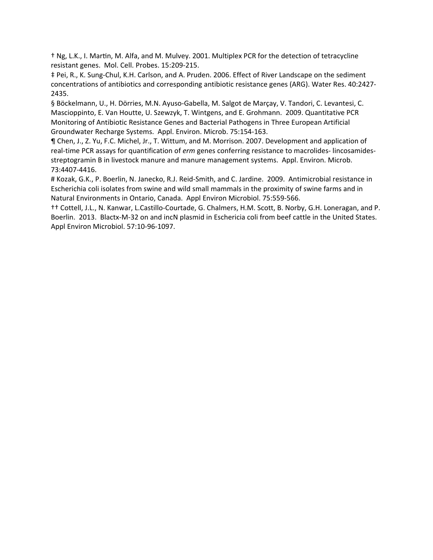† Ng, L.K., I. MarƟn, M. Alfa, and M. Mulvey. 2001. Multiplex PCR for the detection of tetracycline resistant genes. Mol. Cell. Probes. 15:209‐215.

‡ Pei, R., K. Sung‐Chul, K.H. Carlson, and A. Pruden. 2006. Effect of River Landscape on the sediment concentrations of antibiotics and corresponding antibiotic resistance genes (ARG). Water Res. 40:2427‐ 2435.

§ Böckelmann, U., H. Dörries, M.N. Ayuso-Gabella, M. Salgot de Marçay, V. Tandori, C. Levantesi, C. Mascioppinto, E. Van Houtte, U. Szewzyk, T. Wintgens, and E. Grohmann. 2009. Quantitative PCR Monitoring of Antibiotic Resistance Genes and Bacterial Pathogens in Three European Artificial Groundwater Recharge Systems. Appl. Environ. Microb. 75:154‐163.

¶ Chen, J., Z. Yu, F.C. Michel, Jr., T. Wittum, and M. Morrison. 2007. Development and application of real‐time PCR assays for quantification of *erm* genes conferring resistance to macrolides‐ lincosamides‐ streptogramin B in livestock manure and manure management systems. Appl. Environ. Microb. 73:4407‐4416.

# Kozak, G.K., P. Boerlin, N. Janecko, R.J. Reid‐Smith, and C. Jardine. 2009. Antimicrobial resistance in Escherichia coli isolates from swine and wild small mammals in the proximity of swine farms and in Natural Environments in Ontario, Canada. Appl Environ Microbiol. 75:559‐566.

†† Cottell, J.L., N. Kanwar, L.Castillo‐Courtade, G. Chalmers, H.M. Scott, B. Norby, G.H. Loneragan, and P. Boerlin. 2013. Blactx‐M‐32 on and incN plasmid in Eschericia coli from beef cattle in the United States. Appl Environ Microbiol. 57:10‐96‐1097.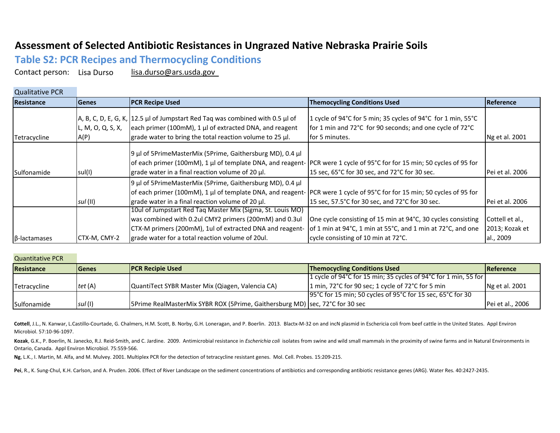# **Assessment of Selected Antibiotic Resistances in Ungrazed Native Nebraska Prairie Soils**

**Table S2: PCR Recipes and Thermocycling Conditions**

Contact person: Lisa Durso lisa.durso@ars.usda.gov

| <b>Qualitative PCR</b> |                           |                                                                                                                                                                                                                                          |                                                                                                                                                                    |                                                |
|------------------------|---------------------------|------------------------------------------------------------------------------------------------------------------------------------------------------------------------------------------------------------------------------------------|--------------------------------------------------------------------------------------------------------------------------------------------------------------------|------------------------------------------------|
| Resistance             | <b>Genes</b>              | <b>PCR Recipe Used</b>                                                                                                                                                                                                                   | <b>Themocycling Conditions Used</b>                                                                                                                                | Reference                                      |
| Tetracycline           | L, M, O, Q, S, X,<br>A(P) | $A$ , B, C, D, E, G, K, 12.5 µ of Jumpstart Red Taq was combined with 0.5 µ of<br>each primer (100mM), 1 µl of extracted DNA, and reagent<br>grade water to bring the total reaction volume to 25 µl.                                    | 1 cycle of 94°C for 5 min; 35 cycles of 94°C for 1 min, 55°C<br>for 1 min and 72°C for 90 seconds; and one cycle of 72°C<br>for 5 minutes.                         | Ng et al. 2001                                 |
| Sulfonamide            | sul(I)                    | 9 µl of 5PrimeMasterMix (5Prime, Gaithersburg MD), 0.4 µl<br>of each primer (100mM), 1 µl of template DNA, and reagent- PCR were 1 cycle of 95°C for for 15 min; 50 cycles of 95 for<br>grade water in a final reaction volume of 20 µl. | 15 sec, 65°C for 30 sec, and 72°C for 30 sec.                                                                                                                      | Pei et al. 2006                                |
|                        | $s$ ul $($ II $)$         | 9 µl of 5PrimeMasterMix (5Prime, Gaithersburg MD), 0.4 µl<br>of each primer (100mM), 1 µl of template DNA, and reagent-<br>grade water in a final reaction volume of 20 µl.                                                              | PCR were 1 cycle of 95°C for for 15 min; 50 cycles of 95 for<br>15 sec, 57.5°C for 30 sec, and 72°C for 30 sec.                                                    | Pei et al. 2006                                |
| $\beta$ -lactamases    | CTX-M, CMY-2              | 10ul of Jumpstart Red Taq Master Mix (Sigma, St. Louis MO)<br>was combined with 0.2ul CMY2 primers (200mM) and 0.3ul<br>CTX-M primers (200mM), 1ul of extracted DNA and reagent-<br>grade water for a total reaction volume of 20ul.     | One cycle consisting of 15 min at 94°C, 30 cycles consisting<br>of 1 min at 94°C, 1 min at 55°C, and 1 min at 72°C, and one<br>cycle consisting of 10 min at 72°C. | Cottell et al.,<br>2013; Kozak et<br>al., 2009 |

#### Quantitative PCR

| <b>Resistance</b> | <b>IGenes</b> | <b>IPCR Recipie Used</b>                                                     | <b>Themocycling Conditions Used</b>                             | <b>IReference</b> |
|-------------------|---------------|------------------------------------------------------------------------------|-----------------------------------------------------------------|-------------------|
|                   |               |                                                                              | 1 cycle of 94°C for 15 min; 35 cycles of 94°C for 1 min, 55 for |                   |
| Tetracycline      | tet (A)       | QuantiTect SYBR Master Mix (Qiagen, Valencia CA)                             | 1 min, 72°C for 90 sec; 1 cycle of 72°C for 5 min               | Ng et al. 2001    |
|                   |               |                                                                              | 195 °C for 15 min; 50 cycles of 95 °C for 15 sec, 65 °C for 30  |                   |
| Sulfonamide       | sul (I)       | 5Prime RealMasterMix SYBR ROX (5Prime, Gaithersburg MD) sec, 72°C for 30 sec |                                                                 | Pei et al., 2006  |

Cottell, J.L., N. Kanwar, L.Castillo-Courtade, G. Chalmers, H.M. Scott, B. Norby, G.H. Loneragan, and P. Boerlin. 2013. Blactx-M-32 on and incN plasmid in Eschericia coli from beef cattle in the United States. Appl Environ Microbiol. 57:10‐96‐1097.

Kozak, G.K., P. Boerlin, N. Janecko, R.J. Reid-Smith, and C. Jardine. 2009. Antimicrobial resistance in Escherichia coli isolates from swine and wild small mammals in the proximity of swine farms and in Natural Environment Ontario, Canada. Appl Environ Microbiol. 75:559‐566.

**Ng**, L.K., I. Martin, M. Alfa, and M. Mulvey. 2001. Multiplex PCR for the detection of tetracycline resistant genes. Mol. Cell. Probes. 15:209‐215.

**Pei**, R., K. Sung‐Chul, K.H. Carlson, and A. Pruden. 2006. Effect of River Landscape on the sediment concentrations of antibiotics and corresponding antibiotic resistance genes (ARG). Water Res. 40:2427‐2435.